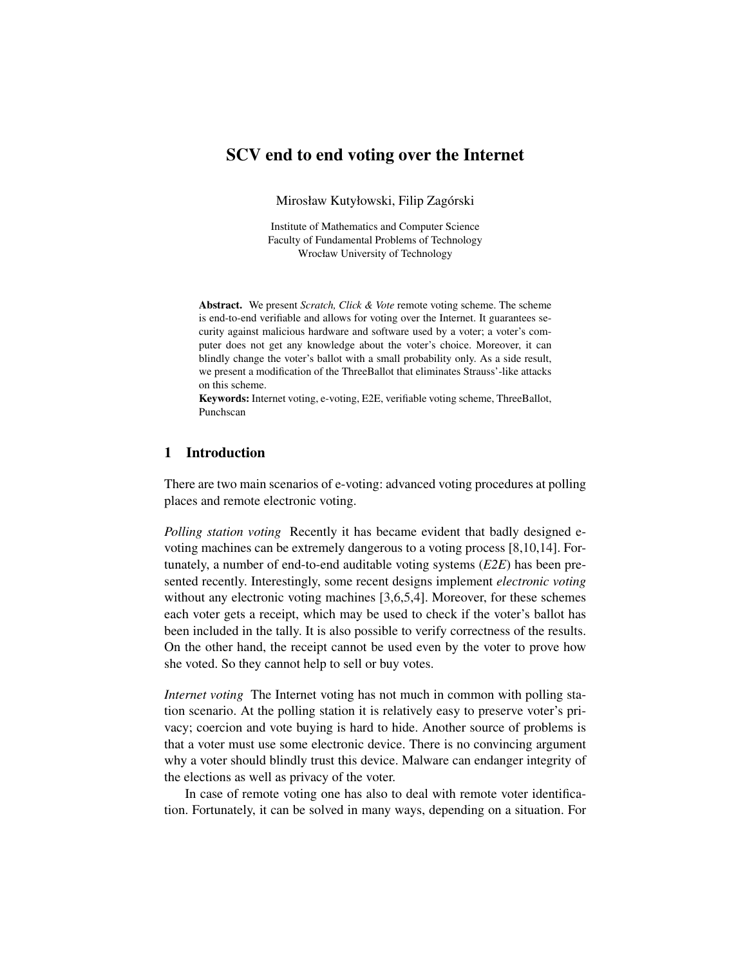# SCV end to end voting over the Internet

Mirosław Kutyłowski, Filip Zagórski

Institute of Mathematics and Computer Science Faculty of Fundamental Problems of Technology Wrocław University of Technology

Abstract. We present *Scratch, Click & Vote* remote voting scheme. The scheme is end-to-end verifiable and allows for voting over the Internet. It guarantees security against malicious hardware and software used by a voter; a voter's computer does not get any knowledge about the voter's choice. Moreover, it can blindly change the voter's ballot with a small probability only. As a side result, we present a modification of the ThreeBallot that eliminates Strauss'-like attacks on this scheme.

Keywords: Internet voting, e-voting, E2E, verifiable voting scheme, ThreeBallot, Punchscan

## 1 Introduction

There are two main scenarios of e-voting: advanced voting procedures at polling places and remote electronic voting.

*Polling station voting* Recently it has became evident that badly designed evoting machines can be extremely dangerous to a voting process [\[8,](#page-22-0)[10,](#page-22-1)[14\]](#page-22-2). Fortunately, a number of end-to-end auditable voting systems (*E2E*) has been presented recently. Interestingly, some recent designs implement *electronic voting*  without any electronic voting machines [\[3](#page-22-3)[,6](#page-22-4)[,5,](#page-22-5)[4\]](#page-22-6). Moreover, for these schemes each voter gets a receipt, which may be used to check if the voter's ballot has been included in the tally. It is also possible to verify correctness of the results. On the other hand, the receipt cannot be used even by the voter to prove how she voted. So they cannot help to sell or buy votes.

*Internet voting* The Internet voting has not much in common with polling station scenario. At the polling station it is relatively easy to preserve voter's privacy; coercion and vote buying is hard to hide. Another source of problems is that a voter must use some electronic device. There is no convincing argument why a voter should blindly trust this device. Malware can endanger integrity of the elections as well as privacy of the voter.

In case of remote voting one has also to deal with remote voter identification. Fortunately, it can be solved in many ways, depending on a situation. For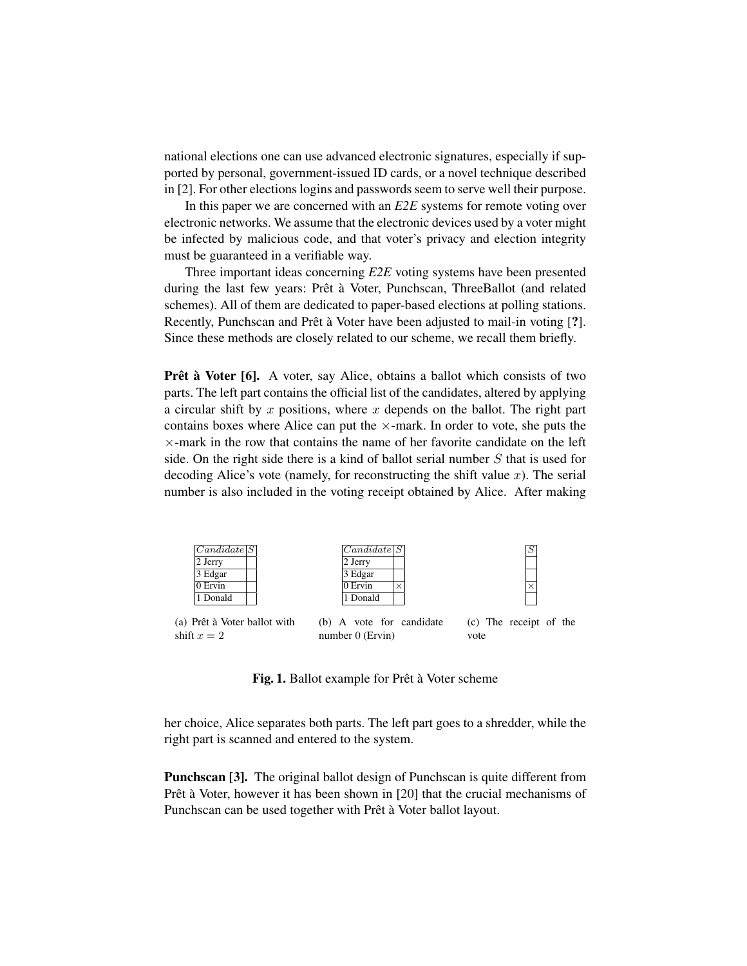national elections one can use advanced electronic signatures, especially if supported by personal, government-issued ID cards, or a novel technique described in [\[2\]](#page-22-7). For other elections logins and passwords seem to serve well their purpose.

In this paper we are concerned with an *E2E* systems for remote voting over electronic networks. We assume that the electronic devices used by a voter might be infected by malicious code, and that voter's privacy and election integrity must be guaranteed in a verifiable way.

Three important ideas concerning *E2E* voting systems have been presented during the last few years: Prêt à Voter, Punchscan, ThreeBallot (and related schemes). All of them are dedicated to paper-based elections at polling stations. Recently, Punchscan and Prêt à Voter have been adjusted to mail-in voting [?]. Since these methods are closely related to our scheme, we recall them briefly.

Prêt à Voter [\[6\]](#page-22-4). A voter, say Alice, obtains a ballot which consists of two parts. The left part contains the official list of the candidates, altered by applying a circular shift by  $x$  positions, where  $x$  depends on the ballot. The right part contains boxes where Alice can put the  $\times$ -mark. In order to vote, she puts the  $\times$ -mark in the row that contains the name of her favorite candidate on the left side. On the right side there is a kind of ballot serial number S that is used for decoding Alice's vote (namely, for reconstructing the shift value  $x$ ). The serial number is also included in the voting receipt obtained by Alice. After making



Fig. 1. Ballot example for Prêt à Voter scheme

her choice, Alice separates both parts. The left part goes to a shredder, while the right part is scanned and entered to the system.

Punchscan [\[3\]](#page-22-3). The original ballot design of Punchscan is quite different from Prêt à Voter, however it has been shown in [\[20\]](#page-23-0) that the crucial mechanisms of Punchscan can be used together with Prêt à Voter ballot layout.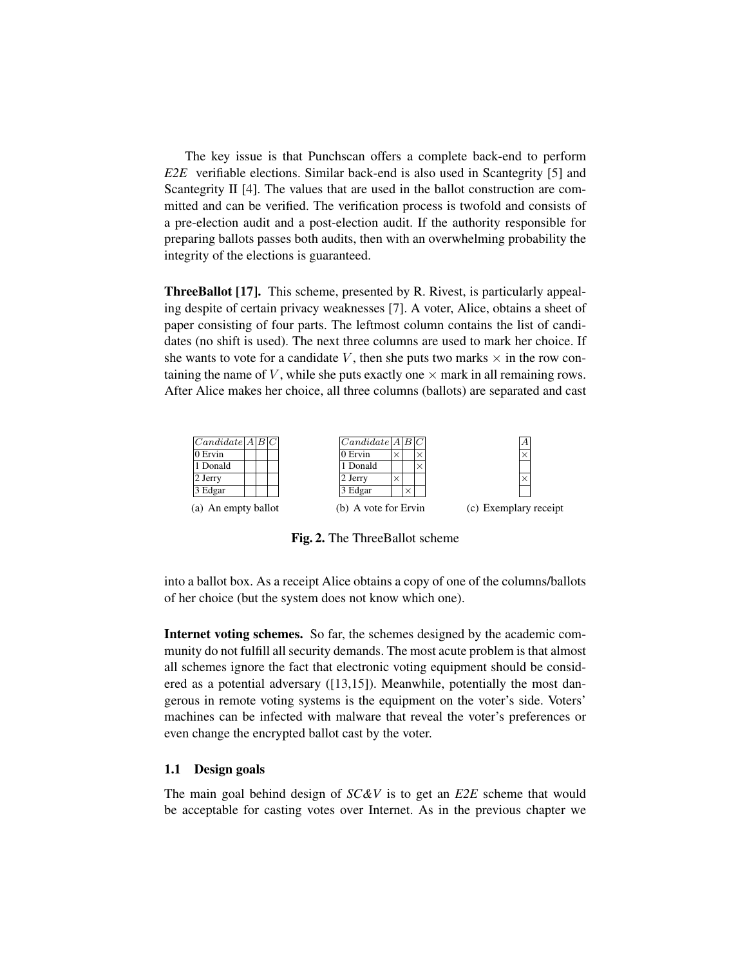The key issue is that Punchscan offers a complete back-end to perform *E2E* verifiable elections. Similar back-end is also used in Scantegrity [\[5\]](#page-22-5) and Scantegrity II [\[4\]](#page-22-6). The values that are used in the ballot construction are committed and can be verified. The verification process is twofold and consists of a pre-election audit and a post-election audit. If the authority responsible for preparing ballots passes both audits, then with an overwhelming probability the integrity of the elections is guaranteed.

ThreeBallot [\[17\]](#page-22-8). This scheme, presented by R. Rivest, is particularly appealing despite of certain privacy weaknesses [\[7\]](#page-22-9). A voter, Alice, obtains a sheet of paper consisting of four parts. The leftmost column contains the list of candidates (no shift is used). The next three columns are used to mark her choice. If she wants to vote for a candidate V, then she puts two marks  $\times$  in the row containing the name of  $V$ , while she puts exactly one  $\times$  mark in all remaining rows. After Alice makes her choice, all three columns (ballots) are separated and cast



Fig. 2. The ThreeBallot scheme

into a ballot box. As a receipt Alice obtains a copy of one of the columns/ballots of her choice (but the system does not know which one).

Internet voting schemes. So far, the schemes designed by the academic community do not fulfill all security demands. The most acute problem is that almost all schemes ignore the fact that electronic voting equipment should be considered as a potential adversary ([\[13](#page-22-10)[,15\]](#page-22-11)). Meanwhile, potentially the most dangerous in remote voting systems is the equipment on the voter's side. Voters' machines can be infected with malware that reveal the voter's preferences or even change the encrypted ballot cast by the voter.

### 1.1 Design goals

The main goal behind design of *SC&V* is to get an *E2E* scheme that would be acceptable for casting votes over Internet. As in the previous chapter we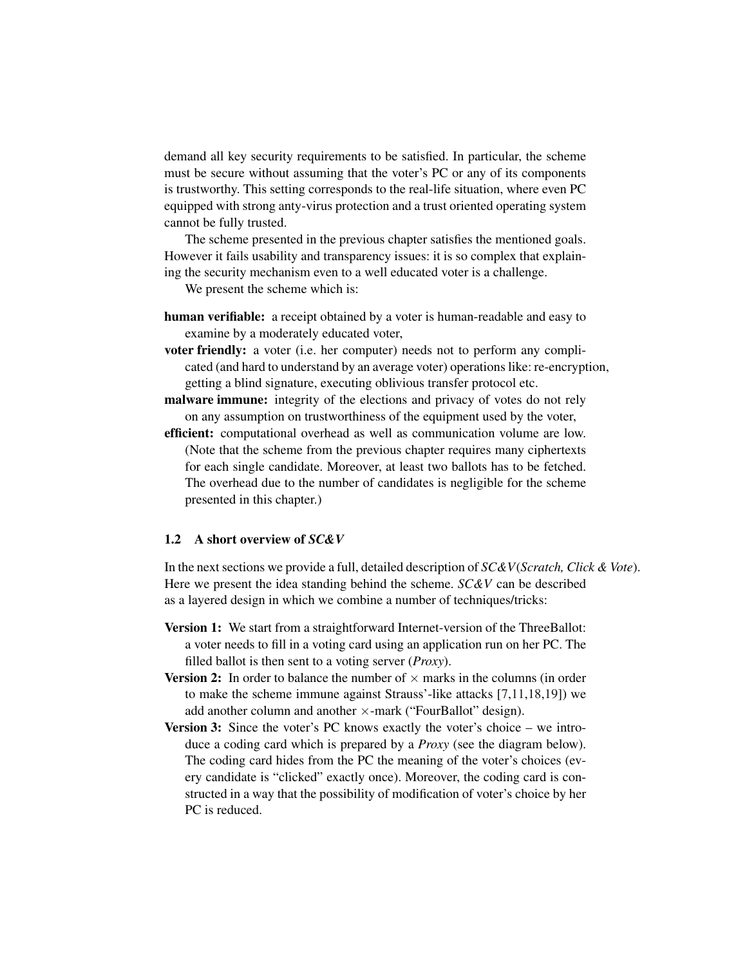demand all key security requirements to be satisfied. In particular, the scheme must be secure without assuming that the voter's PC or any of its components is trustworthy. This setting corresponds to the real-life situation, where even PC equipped with strong anty-virus protection and a trust oriented operating system cannot be fully trusted.

The scheme presented in the previous chapter satisfies the mentioned goals. However it fails usability and transparency issues: it is so complex that explaining the security mechanism even to a well educated voter is a challenge.

We present the scheme which is:

- human verifiable: a receipt obtained by a voter is human-readable and easy to examine by a moderately educated voter,
- voter friendly: a voter (i.e. her computer) needs not to perform any complicated (and hard to understand by an average voter) operations like: re-encryption, getting a blind signature, executing oblivious transfer protocol etc.
- malware immune: integrity of the elections and privacy of votes do not rely on any assumption on trustworthiness of the equipment used by the voter,
- efficient: computational overhead as well as communication volume are low. (Note that the scheme from the previous chapter requires many ciphertexts for each single candidate. Moreover, at least two ballots has to be fetched. The overhead due to the number of candidates is negligible for the scheme presented in this chapter.)

### <span id="page-3-0"></span>1.2 A short overview of *SC&V*

In the next sections we provide a full, detailed description of *SC&V*(*Scratch, Click & Vote*). Here we present the idea standing behind the scheme. *SC&V* can be described as a layered design in which we combine a number of techniques/tricks:

- **Version 1:** We start from a straightforward Internet-version of the ThreeBallot: a voter needs to fill in a voting card using an application run on her PC. The filled ballot is then sent to a voting server (*Proxy*).
- **Version 2:** In order to balance the number of  $\times$  marks in the columns (in order to make the scheme immune against Strauss'-like attacks [\[7](#page-22-9)[,11](#page-22-12)[,18](#page-22-13)[,19\]](#page-23-1)) we add another column and another ×-mark ("FourBallot" design).
- Version 3: Since the voter's PC knows exactly the voter's choice we introduce a coding card which is prepared by a *Proxy* (see the diagram below). The coding card hides from the PC the meaning of the voter's choices (every candidate is "clicked" exactly once). Moreover, the coding card is constructed in a way that the possibility of modification of voter's choice by her PC is reduced.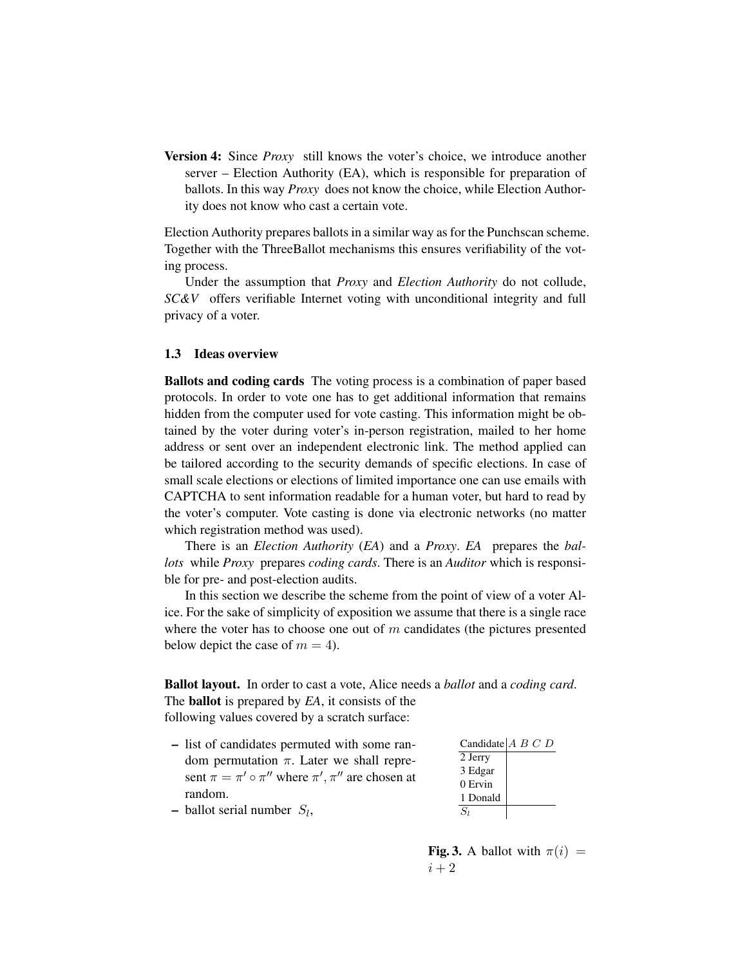Version 4: Since *Proxy* still knows the voter's choice, we introduce another server – Election Authority (EA), which is responsible for preparation of ballots. In this way *Proxy* does not know the choice, while Election Authority does not know who cast a certain vote.

Election Authority prepares ballots in a similar way as for the Punchscan scheme. Together with the ThreeBallot mechanisms this ensures verifiability of the voting process.

Under the assumption that *Proxy* and *Election Authority* do not collude, *SC&V* offers verifiable Internet voting with unconditional integrity and full privacy of a voter.

### 1.3 Ideas overview

Ballots and coding cards The voting process is a combination of paper based protocols. In order to vote one has to get additional information that remains hidden from the computer used for vote casting. This information might be obtained by the voter during voter's in-person registration, mailed to her home address or sent over an independent electronic link. The method applied can be tailored according to the security demands of specific elections. In case of small scale elections or elections of limited importance one can use emails with CAPTCHA to sent information readable for a human voter, but hard to read by the voter's computer. Vote casting is done via electronic networks (no matter which registration method was used).

There is an *Election Authority* (*EA*) and a *Proxy*. *EA* prepares the *ballots* while *Proxy* prepares *coding cards*. There is an *Auditor* which is responsible for pre- and post-election audits.

In this section we describe the scheme from the point of view of a voter Alice. For the sake of simplicity of exposition we assume that there is a single race where the voter has to choose one out of  $m$  candidates (the pictures presented below depict the case of  $m = 4$ ).

Ballot layout. In order to cast a vote, Alice needs a *ballot* and a *coding card*. The ballot is prepared by *EA*, it consists of the following values covered by a scratch surface:

- – list of candidates permuted with some random permutation  $\pi$ . Later we shall represent  $\pi = \pi' \circ \pi''$  where  $\pi', \pi''$  are chosen at random.
- Candidate  $A \ B \ C \ D$ 2 Jerry 3 Edgar 0 Ervin 1 Donald  $\overline{S_l}$

– ballot serial number  $S_l$ ,

Fig. 3. A ballot with  $\pi(i)$  =  $i+2$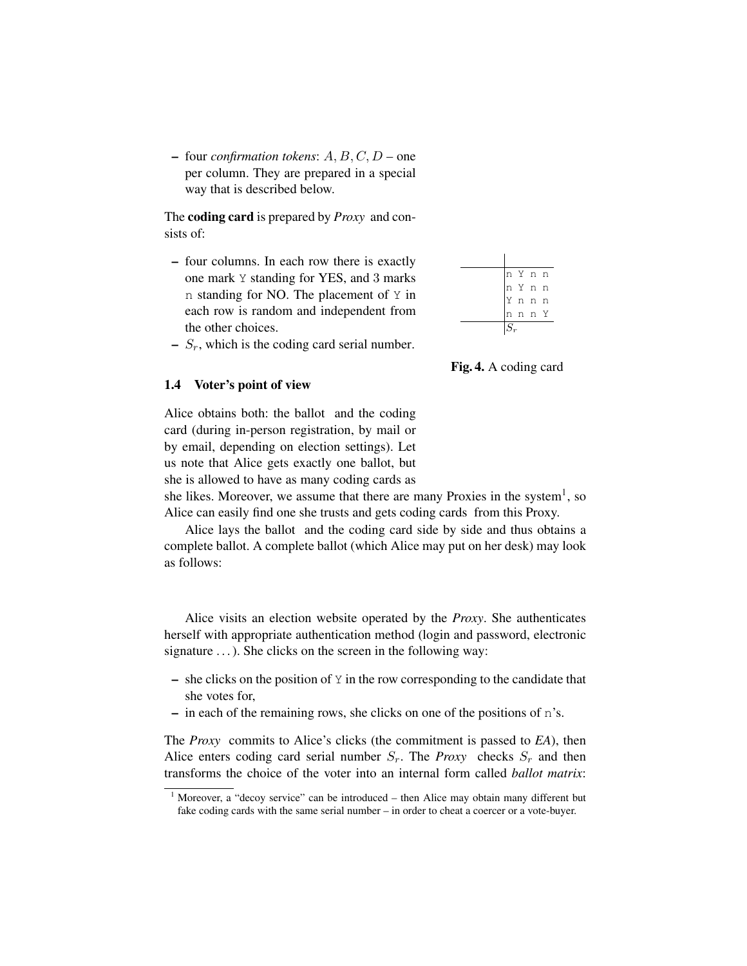$-$  four *confirmation tokens*:  $A, B, C, D$  – one per column. They are prepared in a special way that is described below.

The coding card is prepared by *Proxy* and consists of:

– four columns. In each row there is exactly one mark Y standing for YES, and 3 marks n standing for NO. The placement of Y in each row is random and independent from the other choices.

|  | n Y n n |  |
|--|---------|--|
|  | n Y n n |  |
|  | Y n n n |  |
|  | n n n Y |  |
|  |         |  |

 $- S_r$ , which is the coding card serial number.

Fig. 4. A coding card

#### <span id="page-5-1"></span>1.4 Voter's point of view

Alice obtains both: the ballot and the coding card (during in-person registration, by mail or by email, depending on election settings). Let us note that Alice gets exactly one ballot, but she is allowed to have as many coding cards as

she likes. Moreover, we assume that there are many Proxies in the system<sup>1</sup>, so Alice can easily find one she trusts and gets coding cards from this Proxy.

Alice lays the ballot and the coding card side by side and thus obtains a complete ballot. A complete ballot (which Alice may put on her desk) may look as follows:

Alice visits an election website operated by the *Proxy*. She authenticates herself with appropriate authentication method (login and password, electronic signature  $\dots$ ). She clicks on the screen in the following way:

- $-$  she clicks on the position of Y in the row corresponding to the candidate that she votes for,
- $-$  in each of the remaining rows, she clicks on one of the positions of n's.

The *Proxy* commits to Alice's clicks (the commitment is passed to *EA*), then Alice enters coding card serial number  $S_r$ . The *Proxy* checks  $S_r$  and then transforms the choice of the voter into an internal form called *ballot matrix*:

<span id="page-5-0"></span> $1$  Moreover, a "decoy service" can be introduced – then Alice may obtain many different but fake coding cards with the same serial number – in order to cheat a coercer or a vote-buyer.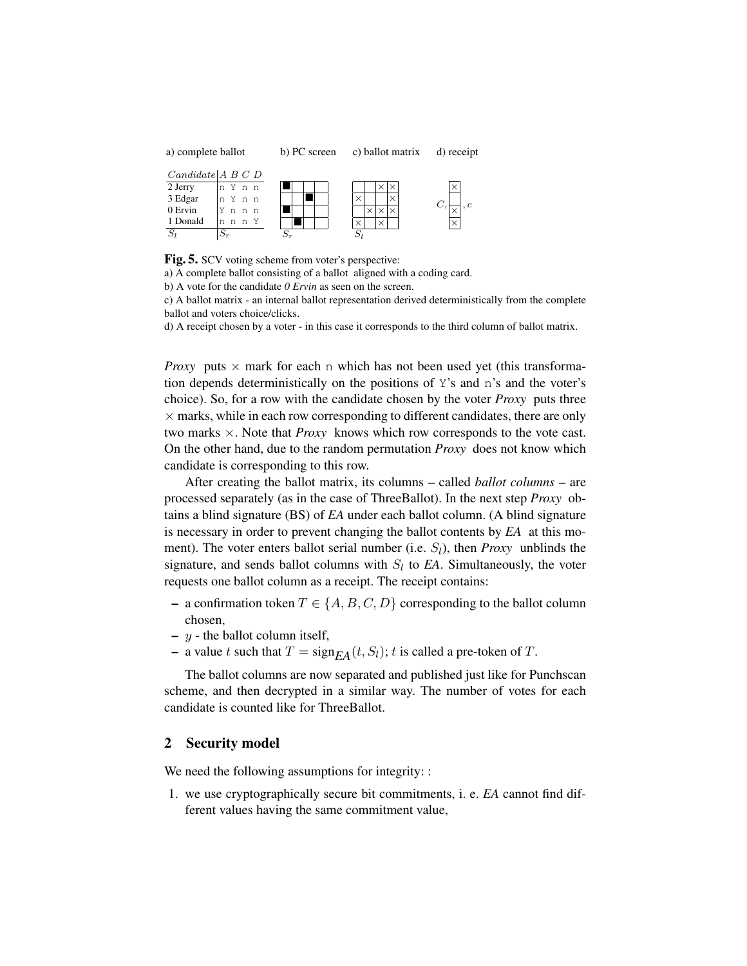| a) complete ballot                   |       |  | b) PC screen |  |  | c) ballot matrix |  |  |  |  | d) receipt |  |  |
|--------------------------------------|-------|--|--------------|--|--|------------------|--|--|--|--|------------|--|--|
| $Candidate \,   \, A \, B \, C \, D$ |       |  |              |  |  |                  |  |  |  |  |            |  |  |
| 2 Jerry                              | n Ynn |  |              |  |  |                  |  |  |  |  |            |  |  |
| 3 Edgar                              | n Ynn |  |              |  |  |                  |  |  |  |  |            |  |  |
| $0$ Ervin                            |       |  |              |  |  |                  |  |  |  |  |            |  |  |

| 0 Ervin  | n | n,   | n |    |  |  |   |  |  |
|----------|---|------|---|----|--|--|---|--|--|
| 1 Donald |   | nnnY |   |    |  |  |   |  |  |
| $\sim$   |   |      |   | ۰. |  |  | ົ |  |  |

Fig. 5. SCV voting scheme from voter's perspective:

a) A complete ballot consisting of a ballot aligned with a coding card.

b) A vote for the candidate *0 Ervin* as seen on the screen.

c) A ballot matrix - an internal ballot representation derived deterministically from the complete ballot and voters choice/clicks.

× ×

d) A receipt chosen by a voter - in this case it corresponds to the third column of ballot matrix.

*Proxy* puts  $\times$  mark for each n which has not been used yet (this transformation depends deterministically on the positions of Y's and n's and the voter's choice). So, for a row with the candidate chosen by the voter *Proxy* puts three  $\times$  marks, while in each row corresponding to different candidates, there are only two marks ×. Note that *Proxy* knows which row corresponds to the vote cast. On the other hand, due to the random permutation *Proxy* does not know which candidate is corresponding to this row.

After creating the ballot matrix, its columns – called *ballot columns* – are processed separately (as in the case of ThreeBallot). In the next step *Proxy* obtains a blind signature (BS) of *EA* under each ballot column. (A blind signature is necessary in order to prevent changing the ballot contents by *EA* at this moment). The voter enters ballot serial number (i.e.  $S_l$ ), then *Proxy* unblinds the signature, and sends ballot columns with  $S_l$  to  $EA$ . Simultaneously, the voter requests one ballot column as a receipt. The receipt contains:

- a confirmation token  $T \in \{A, B, C, D\}$  corresponding to the ballot column chosen,
- $-$  y the ballot column itself,
- a value t such that  $T = sign_{EA}(t, S_l)$ ; t is called a pre-token of T.

The ballot columns are now separated and published just like for Punchscan scheme, and then decrypted in a similar way. The number of votes for each candidate is counted like for ThreeBallot.

### 2 Security model

We need the following assumptions for integrity: :

1. we use cryptographically secure bit commitments, i. e. *EA* cannot find different values having the same commitment value,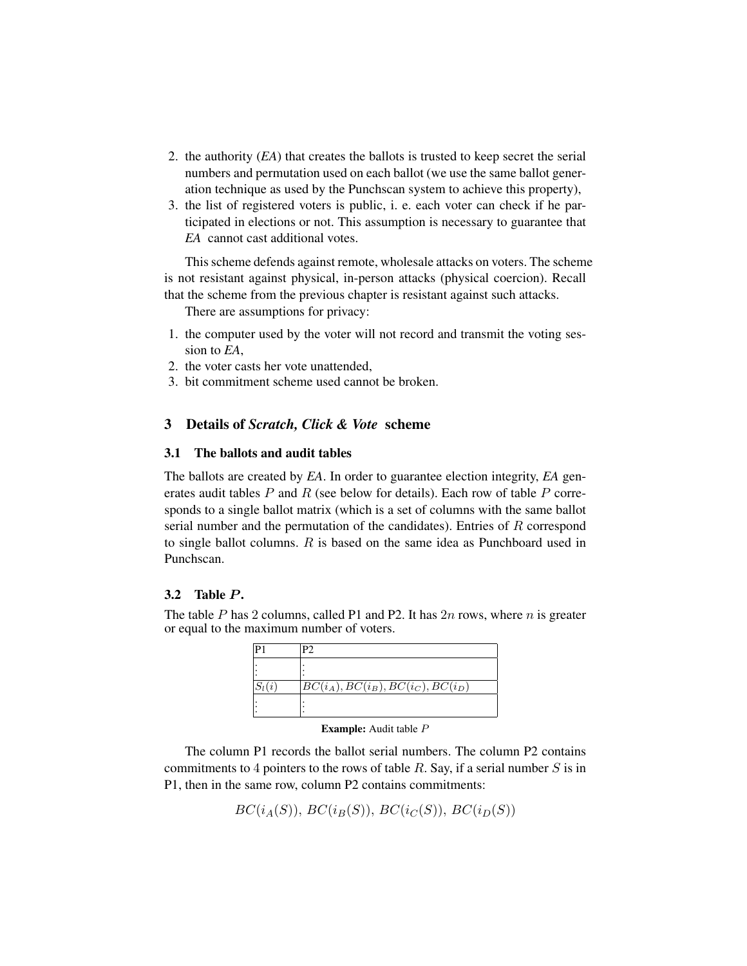- 2. the authority (*EA*) that creates the ballots is trusted to keep secret the serial numbers and permutation used on each ballot (we use the same ballot generation technique as used by the Punchscan system to achieve this property),
- 3. the list of registered voters is public, i. e. each voter can check if he participated in elections or not. This assumption is necessary to guarantee that *EA* cannot cast additional votes.

This scheme defends against remote, wholesale attacks on voters. The scheme is not resistant against physical, in-person attacks (physical coercion). Recall that the scheme from the previous chapter is resistant against such attacks.

There are assumptions for privacy:

- 1. the computer used by the voter will not record and transmit the voting session to *EA*,
- 2. the voter casts her vote unattended,
- 3. bit commitment scheme used cannot be broken.

## 3 Details of *Scratch, Click & Vote* scheme

### 3.1 The ballots and audit tables

The ballots are created by *EA*. In order to guarantee election integrity, *EA* generates audit tables  $P$  and  $R$  (see below for details). Each row of table  $P$  corresponds to a single ballot matrix (which is a set of columns with the same ballot serial number and the permutation of the candidates). Entries of R correspond to single ballot columns. R is based on the same idea as Punchboard used in Punchscan.

### 3.2 Table  $P$ .

The table P has 2 columns, called P1 and P2. It has  $2n$  rows, where n is greater or equal to the maximum number of voters.

| $BC(i_A), BC(i_B), BC(i_C), BC(i_D)$ |
|--------------------------------------|
|                                      |

Example: Audit table P

The column P1 records the ballot serial numbers. The column P2 contains commitments to 4 pointers to the rows of table  $R$ . Say, if a serial number  $S$  is in P1, then in the same row, column P2 contains commitments:

 $BC(i<sub>A</sub>(S)), BC(i<sub>B</sub>(S)), BC(i<sub>C</sub>(S)), BC(i<sub>D</sub>(S))$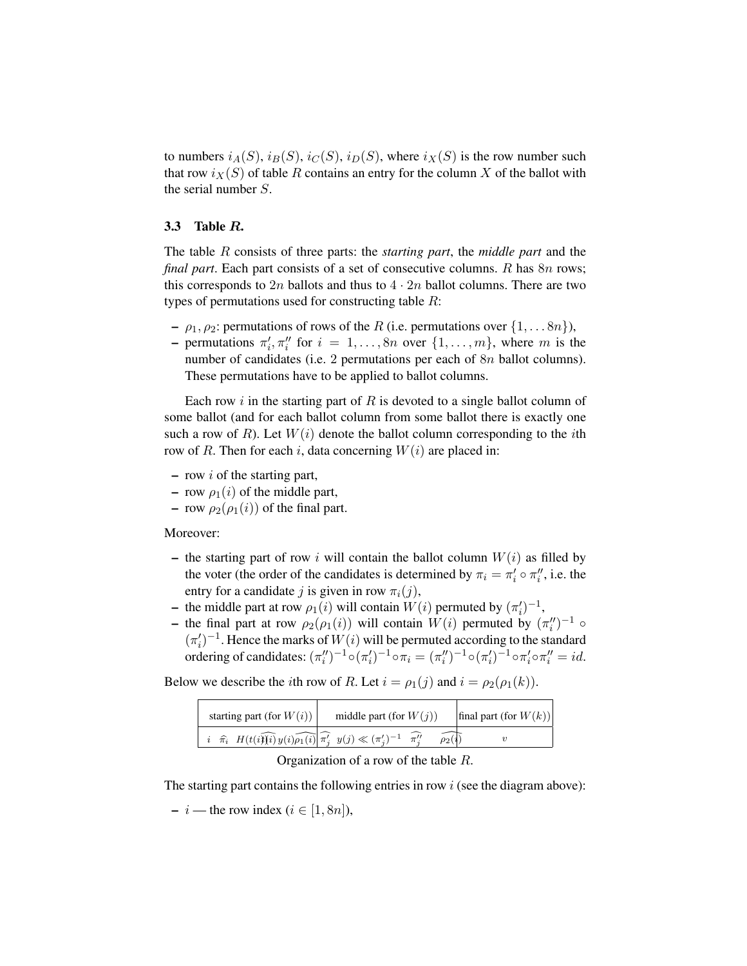to numbers  $i_A(S), i_B(S), i_C(S), i_D(S)$ , where  $i_X(S)$  is the row number such that row  $i_X(S)$  of table R contains an entry for the column X of the ballot with the serial number S.

### 3.3 Table R.

The table R consists of three parts: the *starting part*, the *middle part* and the *final part*. Each part consists of a set of consecutive columns. R has 8n rows; this corresponds to 2n ballots and thus to  $4 \cdot 2n$  ballot columns. There are two types of permutations used for constructing table  $R$ :

- $\rho_1, \rho_2$ : permutations of rows of the R (i.e. permutations over  $\{1, \ldots 8n\}$ ),
- permutations  $\pi'_i, \pi''_i$  for  $i = 1, \ldots, 8n$  over  $\{1, \ldots, m\}$ , where m is the number of candidates (i.e. 2 permutations per each of  $8n$  ballot columns). These permutations have to be applied to ballot columns.

Each row  $i$  in the starting part of  $R$  is devoted to a single ballot column of some ballot (and for each ballot column from some ballot there is exactly one such a row of R). Let  $W(i)$  denote the ballot column corresponding to the *i*th row of R. Then for each i, data concerning  $W(i)$  are placed in:

- $-$  row i of the starting part,
- row  $\rho_1(i)$  of the middle part,
- row  $\rho_2(\rho_1(i))$  of the final part.

#### Moreover:

- the starting part of row i will contain the ballot column  $W(i)$  as filled by the voter (the order of the candidates is determined by  $\pi_i = \pi'_i \circ \pi''_i$ , i.e. the entry for a candidate j is given in row  $\pi_i(j)$ ,
- the middle part at row  $\rho_1(i)$  will contain  $W(i)$  permuted by  $(\pi'_i)^{-1}$ ,
- the final part at row  $\rho_2(\rho_1(i))$  will contain  $W(i)$  permuted by  $(\pi_i'')^{-1} \circ$  $(\pi_i')^{-1}$ . Hence the marks of  $W(i)$  will be permuted according to the standard ordering of candidates:  $(\pi''_i)^{-1} \circ (\pi'_i)^{-1} \circ \pi_i = (\pi''_i)^{-1} \circ (\pi'_i)^{-1} \circ \pi'_i \circ \pi''_i = id$ .

Below we describe the *i*th row of R. Let  $i = \rho_1(j)$  and  $i = \rho_2(\rho_1(k))$ .

| starting part (for $W(i)$ )                                                                                                                            | middle part (for $W(j)$ ) | final part (for $W(k)$ ) |
|--------------------------------------------------------------------------------------------------------------------------------------------------------|---------------------------|--------------------------|
| $i \quad \hat{\pi}_i \quad H(t(i\hat{\mathfrak{H}}\hat{\imath})\hat{y(i)}\hat{\rho_1(i)}\hat{\pi'_i} \quad y(j) \ll (\pi'_i)^{-1} \quad \hat{\pi''_i}$ |                           |                          |

### Organization of a row of the table R.

The starting part contains the following entries in row  $i$  (see the diagram above):

 $- i$  — the row index ( $i \in [1, 8n]$ ),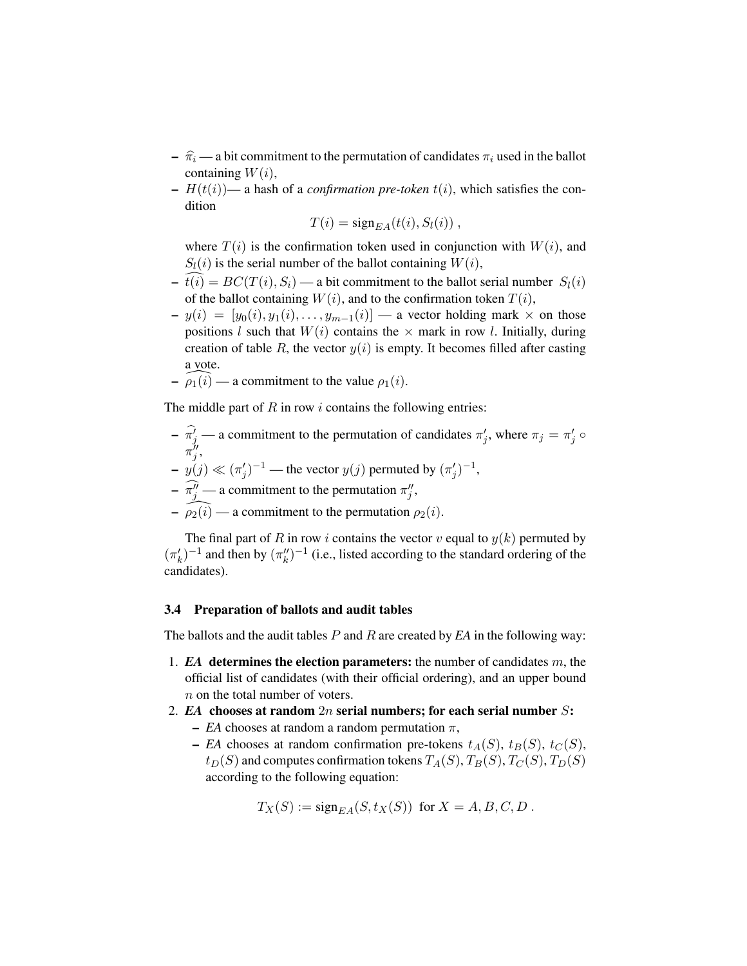- $-\hat{\pi}_i$  a bit commitment to the permutation of candidates  $\pi_i$  used in the ballot containing  $W(i)$ ,
- $-H(t(i))$  a hash of a *confirmation pre-token*  $t(i)$ , which satisfies the condition

$$
T(i) = sign_{EA}(t(i), S_l(i)),
$$

where  $T(i)$  is the confirmation token used in conjunction with  $W(i)$ , and  $S_l(i)$  is the serial number of the ballot containing  $W(i)$ ,

- $t(i) = BC(T(i), S_i)$  a bit commitment to the ballot serial number  $S_l(i)$ of the ballot containing  $W(i)$ , and to the confirmation token  $T(i)$ ,
- $-y(i) = [y_0(i), y_1(i), \ldots, y_{m-1}(i)]$  a vector holding mark  $\times$  on those positions l such that  $W(i)$  contains the  $\times$  mark in row l. Initially, during creation of table R, the vector  $y(i)$  is empty. It becomes filled after casting a vote.
- $-\widehat{\rho_1(i)}$  a commitment to the value  $\rho_1(i)$ .

The middle part of  $R$  in row  $i$  contains the following entries:

- $\sigma = \pi_j^j$  a commitment to the permutation of candidates  $\pi_j$ , where  $\pi_j = \pi_j^j \circ \pi_j$  $\pi''_j$ ,  $-y(j) \ll (\pi'_j)^{-1}$  — the vector  $y(j)$  permuted by  $(\pi'_j)^{-1}$ ,
- $-\overline{\pi_j^{\prime\prime}}$  a commitment to the permutation  $\pi_j^{\prime\prime}$ ,
- $-\widehat{\rho_2(i)}$  a commitment to the permutation  $\rho_2(i)$ .

The final part of R in row i contains the vector v equal to  $y(k)$  permuted by  $(\pi_k')^{-1}$  and then by  $(\pi_k'')^{-1}$  (i.e., listed according to the standard ordering of the candidates).

### 3.4 Preparation of ballots and audit tables

The ballots and the audit tables P and R are created by *EA* in the following way:

- 1.  $EA$  determines the election parameters: the number of candidates  $m$ , the official list of candidates (with their official ordering), and an upper bound n on the total number of voters.
- 2. *EA* chooses at random  $2n$  serial numbers; for each serial number  $S$ :
	- *EA* chooses at random a random permutation  $\pi$ ,
	- *EA* chooses at random confirmation pre-tokens  $t_A(S)$ ,  $t_B(S)$ ,  $t_C(S)$ ,  $t_D(S)$  and computes confirmation tokens  $T_A(S)$ ,  $T_B(S)$ ,  $T_C(S)$ ,  $T_D(S)$ according to the following equation:

$$
T_X(S) := \mathrm{sign}_{EA}(S, t_X(S)) \text{ for } X = A, B, C, D.
$$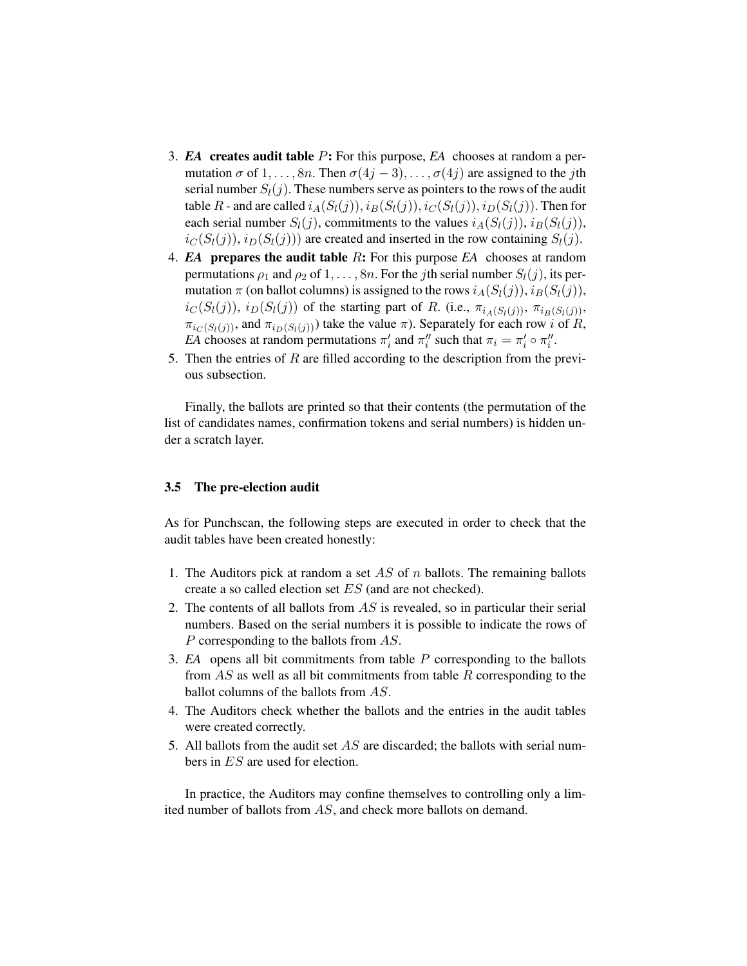- 3. *EA* creates audit table P: For this purpose, *EA* chooses at random a permutation  $\sigma$  of  $1, \ldots, 8n$ . Then  $\sigma(4j-3), \ldots, \sigma(4j)$  are assigned to the jth serial number  $S_l(j)$ . These numbers serve as pointers to the rows of the audit table R - and are called  $i_A(S_l(j)), i_B(S_l(j)), i_C(S_l(j)), i_D(S_l(j))$ . Then for each serial number  $S_l(j)$ , commitments to the values  $i_A(S_l(j))$ ,  $i_B(S_l(j))$ ,  $i_C(S_l(j)), i_D(S_l(j)))$  are created and inserted in the row containing  $S_l(j)$ .
- 4.  $EA$  prepares the audit table  $R$ : For this purpose  $EA$  chooses at random permutations  $\rho_1$  and  $\rho_2$  of  $1, \ldots, 8n$ . For the *j*th serial number  $S_l(j)$ , its permutation  $\pi$  (on ballot columns) is assigned to the rows  $i_A(S_l(j))$ ,  $i_B(S_l(j))$ ,  $i_C(S_l(j))$ ,  $i_D(S_l(j))$  of the starting part of R. (i.e.,  $\pi_{i_A(S_l(j))}$ ,  $\pi_{i_B(S_l(j))}$ ,  $\pi_{i_C(S_l(j))}$ , and  $\pi_{i_D(S_l(j))}$ ) take the value  $\pi$ ). Separately for each row i of R, *EA* chooses at random permutations  $\pi'_i$  and  $\pi''_i$  such that  $\pi_i = \pi'_i \circ \pi''_i$ .
- 5. Then the entries of  $R$  are filled according to the description from the previous subsection.

Finally, the ballots are printed so that their contents (the permutation of the list of candidates names, confirmation tokens and serial numbers) is hidden under a scratch layer.

### 3.5 The pre-election audit

As for Punchscan, the following steps are executed in order to check that the audit tables have been created honestly:

- 1. The Auditors pick at random a set AS of  $n$  ballots. The remaining ballots create a so called election set ES (and are not checked).
- 2. The contents of all ballots from AS is revealed, so in particular their serial numbers. Based on the serial numbers it is possible to indicate the rows of P corresponding to the ballots from AS.
- 3. *EA* opens all bit commitments from table P corresponding to the ballots from AS as well as all bit commitments from table R corresponding to the ballot columns of the ballots from AS.
- 4. The Auditors check whether the ballots and the entries in the audit tables were created correctly.
- 5. All ballots from the audit set  $AS$  are discarded; the ballots with serial numbers in ES are used for election.

In practice, the Auditors may confine themselves to controlling only a limited number of ballots from AS, and check more ballots on demand.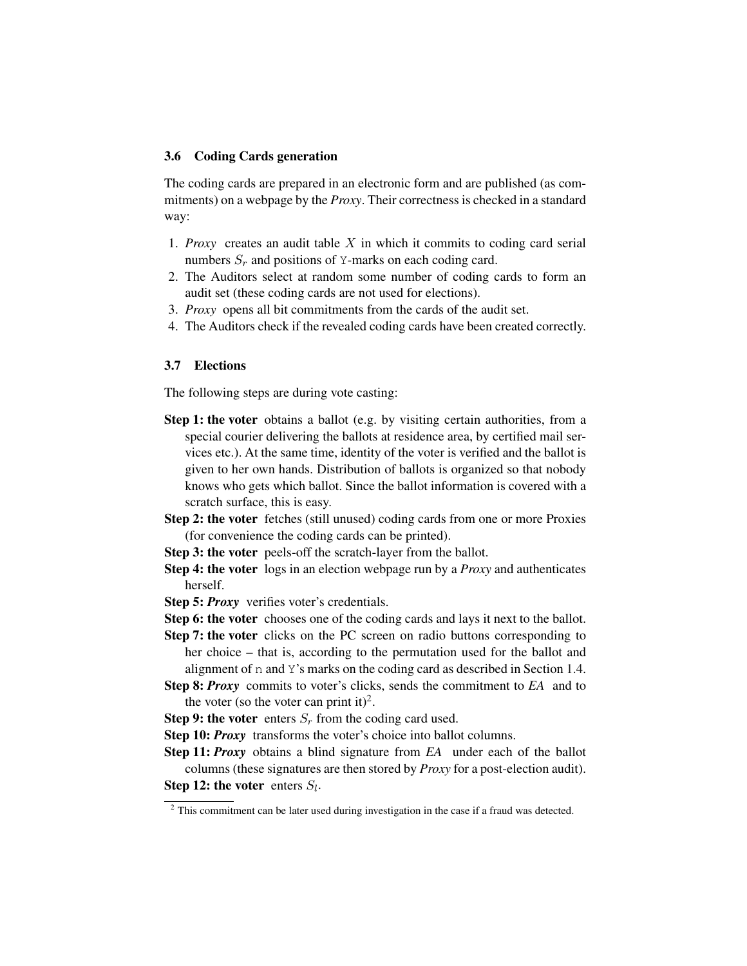#### 3.6 Coding Cards generation

The coding cards are prepared in an electronic form and are published (as commitments) on a webpage by the *Proxy*. Their correctness is checked in a standard way:

- 1. *Proxy* creates an audit table  $X$  in which it commits to coding card serial numbers  $S_r$  and positions of Y-marks on each coding card.
- 2. The Auditors select at random some number of coding cards to form an audit set (these coding cards are not used for elections).
- 3. *Proxy* opens all bit commitments from the cards of the audit set.
- 4. The Auditors check if the revealed coding cards have been created correctly.

#### 3.7 Elections

The following steps are during vote casting:

- Step 1: the voter obtains a ballot (e.g. by visiting certain authorities, from a special courier delivering the ballots at residence area, by certified mail services etc.). At the same time, identity of the voter is verified and the ballot is given to her own hands. Distribution of ballots is organized so that nobody knows who gets which ballot. Since the ballot information is covered with a scratch surface, this is easy.
- Step 2: the voter fetches (still unused) coding cards from one or more Proxies (for convenience the coding cards can be printed).
- Step 3: the voter peels-off the scratch-layer from the ballot.
- Step 4: the voter logs in an election webpage run by a *Proxy* and authenticates herself.
- Step 5: *Proxy* verifies voter's credentials.
- Step 6: the voter chooses one of the coding cards and lays it next to the ballot.
- Step 7: the voter clicks on the PC screen on radio buttons corresponding to her choice – that is, according to the permutation used for the ballot and alignment of n and Y's marks on the coding card as described in Section [1.4.](#page-5-1)
- Step 8: *Proxy* commits to voter's clicks, sends the commitment to *EA* and to the voter (so the voter can print it)<sup>2</sup>.
- Step 9: the voter enters  $S_r$  from the coding card used.
- Step 10: *Proxy* transforms the voter's choice into ballot columns.
- Step 11: *Proxy* obtains a blind signature from *EA* under each of the ballot columns (these signatures are then stored by *Proxy* for a post-election audit). Step 12: the voter enters  $S_l$ .

<span id="page-11-0"></span><sup>&</sup>lt;sup>2</sup> This commitment can be later used during investigation in the case if a fraud was detected.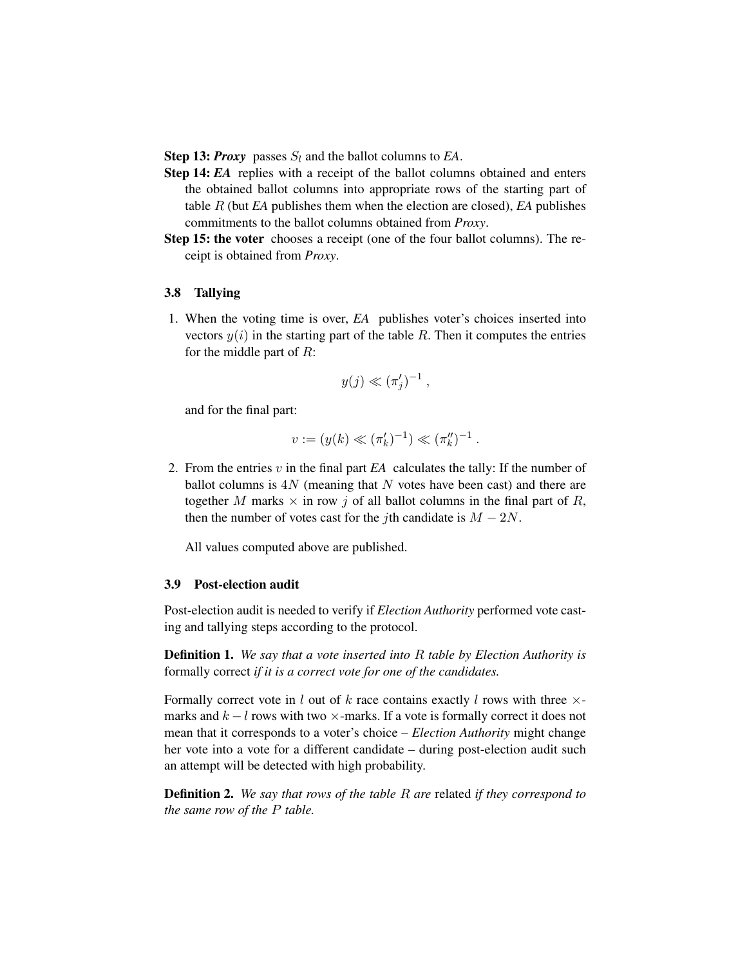**Step 13:** *Proxy* passes  $S_l$  and the ballot columns to *EA*.

- Step 14: *EA* replies with a receipt of the ballot columns obtained and enters the obtained ballot columns into appropriate rows of the starting part of table R (but *EA* publishes them when the election are closed), *EA* publishes commitments to the ballot columns obtained from *Proxy*.
- Step 15: the voter chooses a receipt (one of the four ballot columns). The receipt is obtained from *Proxy*.

### 3.8 Tallying

1. When the voting time is over, *EA* publishes voter's choices inserted into vectors  $y(i)$  in the starting part of the table R. Then it computes the entries for the middle part of  $R$ :

$$
y(j) \ll (\pi'_j)^{-1} ,
$$

and for the final part:

$$
v := (y(k) \ll (\pi'_k)^{-1}) \ll (\pi''_k)^{-1} .
$$

2. From the entries v in the final part *EA* calculates the tally: If the number of ballot columns is  $4N$  (meaning that N votes have been cast) and there are together M marks  $\times$  in row j of all ballot columns in the final part of R, then the number of votes cast for the *j*th candidate is  $M - 2N$ .

All values computed above are published.

#### 3.9 Post-election audit

Post-election audit is needed to verify if *Election Authority* performed vote casting and tallying steps according to the protocol.

Definition 1. *We say that a vote inserted into* R *table by Election Authority is*  formally correct *if it is a correct vote for one of the candidates.* 

Formally correct vote in l out of k race contains exactly l rows with three  $\times$ marks and  $k - l$  rows with two  $\times$ -marks. If a vote is formally correct it does not mean that it corresponds to a voter's choice – *Election Authority* might change her vote into a vote for a different candidate – during post-election audit such an attempt will be detected with high probability.

Definition 2. *We say that rows of the table* R *are* related *if they correspond to the same row of the* P *table.*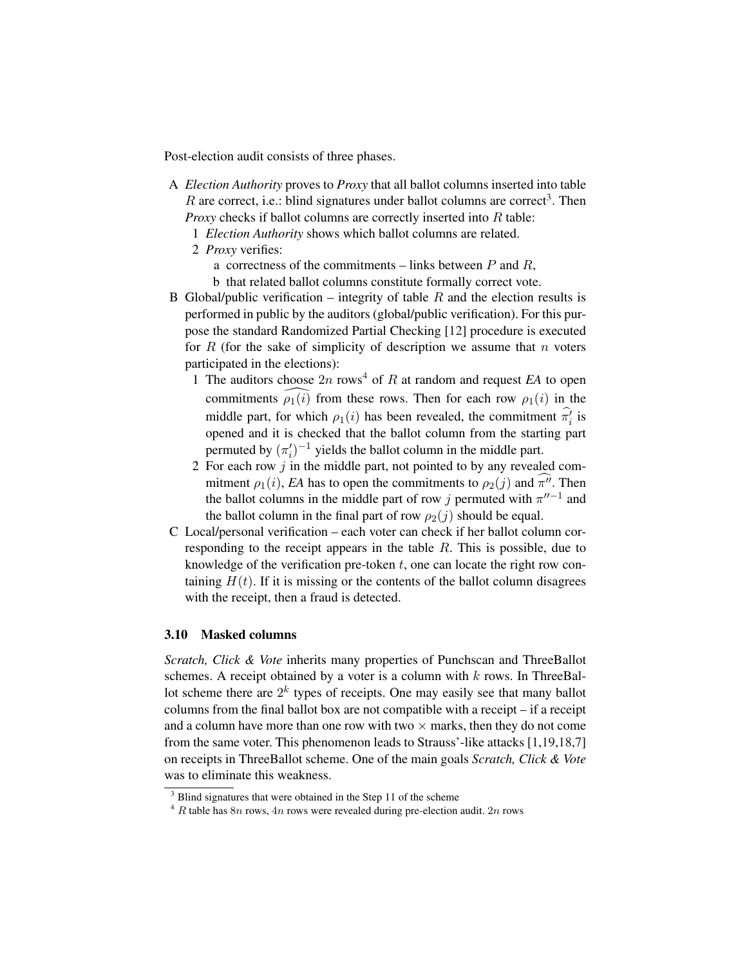Post-election audit consists of three phases.

- A *Election Authority* proves to *Proxy* that all ballot columns inserted into table R are correct, i.e.: blind signatures under ballot columns are correct<sup>3</sup>. Then *Proxy* checks if ballot columns are correctly inserted into R table:
	- 1 *Election Authority* shows which ballot columns are related.
	- 2 *Proxy* verifies:
		- a correctness of the commitments links between  $P$  and  $R$ ,
		- b that related ballot columns constitute formally correct vote.
- B Global/public verification integrity of table  $R$  and the election results is performed in public by the auditors (global/public verification). For this purpose the standard Randomized Partial Checking [\[12\]](#page-22-14) procedure is executed for R (for the sake of simplicity of description we assume that n voters participated in the elections):
	- 1 The auditors choose  $2n$  rows<sup>4</sup> of R at random and request EA to open commitments  $\widehat{\rho_1(i)}$  from these rows. Then for each row  $\rho_1(i)$  in the middle part, for which  $\rho_1(i)$  has been revealed, the commitment  $\hat{\pi}_i$  is opened and it is checked that the ballot column from the starting part permuted by  $(\pi_i')^{-1}$  yields the ballot column in the middle part.
	- 2 For each row j in the middle part, not pointed to by any revealed commitment  $\rho_1(i)$ , *EA* has to open the commitments to  $\rho_2(j)$  and  $\pi^{ij}$ . Then the ballot columns in the middle part of row j permuted with  $\pi^{n-1}$  and the ballot column in the final part of row  $\rho_2(j)$  should be equal.
- C Local/personal verification each voter can check if her ballot column corresponding to the receipt appears in the table  $R$ . This is possible, due to knowledge of the verification pre-token  $t$ , one can locate the right row containing  $H(t)$ . If it is missing or the contents of the ballot column disagrees with the receipt, then a fraud is detected.

#### <span id="page-13-2"></span>3.10 Masked columns

*Scratch, Click & Vote* inherits many properties of Punchscan and ThreeBallot schemes. A receipt obtained by a voter is a column with  $k$  rows. In ThreeBallot scheme there are  $2^k$  types of receipts. One may easily see that many ballot columns from the final ballot box are not compatible with a receipt – if a receipt and a column have more than one row with two  $\times$  marks, then they do not come from the same voter. This phenomenon leads to Strauss'-like attacks [\[1](#page-21-0)[,19](#page-23-1)[,18,](#page-22-13)[7\]](#page-22-9) on receipts in ThreeBallot scheme. One of the main goals *Scratch, Click & Vote*  was to eliminate this weakness.

<span id="page-13-0"></span><sup>&</sup>lt;sup>3</sup> Blind signatures that were obtained in the Step 11 of the scheme

<span id="page-13-1"></span> $4$  R table has  $8n$  rows,  $4n$  rows were revealed during pre-election audit.  $2n$  rows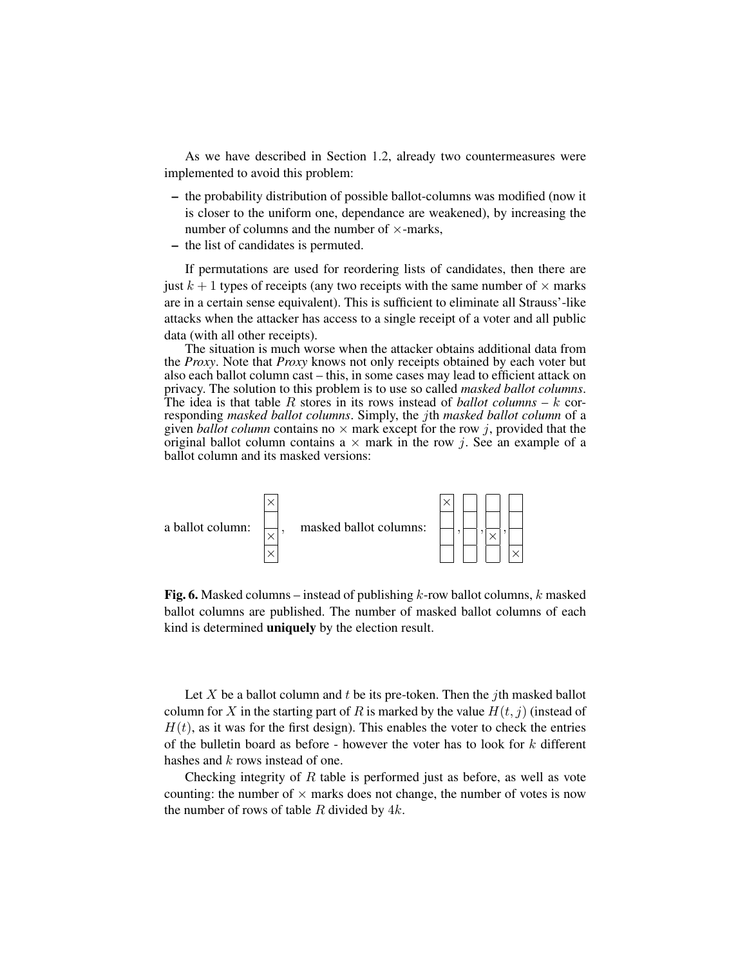As we have described in Section [1.2,](#page-3-0) already two countermeasures were implemented to avoid this problem:

- the probability distribution of possible ballot-columns was modified (now it is closer to the uniform one, dependance are weakened), by increasing the number of columns and the number of  $\times$ -marks,
- the list of candidates is permuted.

If permutations are used for reordering lists of candidates, then there are just  $k + 1$  types of receipts (any two receipts with the same number of  $\times$  marks are in a certain sense equivalent). This is sufficient to eliminate all Strauss'-like attacks when the attacker has access to a single receipt of a voter and all public data (with all other receipts).

The situation is much worse when the attacker obtains additional data from the *Proxy*. Note that *Proxy* knows not only receipts obtained by each voter but also each ballot column cast – this, in some cases may lead to efficient attack on privacy. The solution to this problem is to use so called *masked ballot columns*. The idea is that table  $R$  stores in its rows instead of *ballot columns – k* corresponding *masked ballot columns*. Simply, the jth *masked ballot column* of a given *ballot column* contains no  $\times$  mark except for the row j, provided that the original ballot column contains a  $\times$  mark in the row j. See an example of a ballot column and its masked versions:



**Fig. 6.** Masked columns – instead of publishing  $k$ -row ballot columns, k masked ballot columns are published. The number of masked ballot columns of each kind is determined uniquely by the election result.

Let X be a ballot column and t be its pre-token. Then the jth masked ballot column for X in the starting part of R is marked by the value  $H(t, j)$  (instead of  $H(t)$ , as it was for the first design). This enables the voter to check the entries of the bulletin board as before - however the voter has to look for  $k$  different hashes and k rows instead of one.

Checking integrity of  $R$  table is performed just as before, as well as vote counting: the number of  $\times$  marks does not change, the number of votes is now the number of rows of table  $R$  divided by  $4k$ .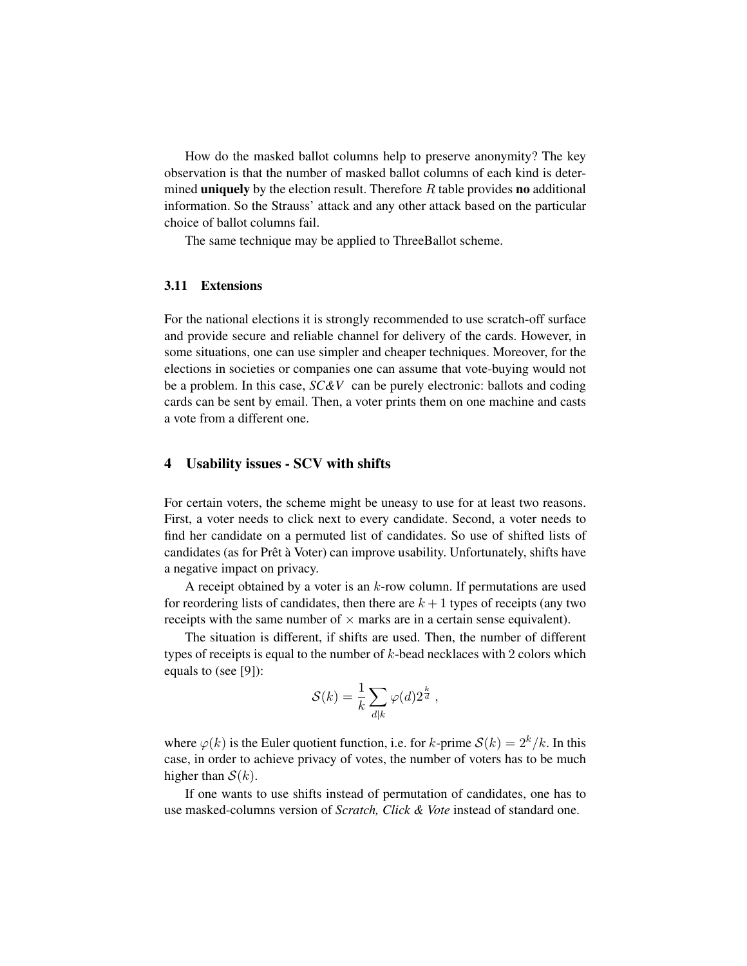How do the masked ballot columns help to preserve anonymity? The key observation is that the number of masked ballot columns of each kind is determined **uniquely** by the election result. Therefore  $R$  table provides **no** additional information. So the Strauss' attack and any other attack based on the particular choice of ballot columns fail.

The same technique may be applied to ThreeBallot scheme.

### 3.11 Extensions

For the national elections it is strongly recommended to use scratch-off surface and provide secure and reliable channel for delivery of the cards. However, in some situations, one can use simpler and cheaper techniques. Moreover, for the elections in societies or companies one can assume that vote-buying would not be a problem. In this case, *SC&V* can be purely electronic: ballots and coding cards can be sent by email. Then, a voter prints them on one machine and casts a vote from a different one.

### 4 Usability issues - SCV with shifts

For certain voters, the scheme might be uneasy to use for at least two reasons. First, a voter needs to click next to every candidate. Second, a voter needs to find her candidate on a permuted list of candidates. So use of shifted lists of candidates (as for Prêt à Voter) can improve usability. Unfortunately, shifts have a negative impact on privacy.

A receipt obtained by a voter is an  $k$ -row column. If permutations are used for reordering lists of candidates, then there are  $k + 1$  types of receipts (any two receipts with the same number of  $\times$  marks are in a certain sense equivalent).

The situation is different, if shifts are used. Then, the number of different types of receipts is equal to the number of  $k$ -bead necklaces with 2 colors which equals to (see [\[9\]](#page-22-15)):

$$
\mathcal{S}(k) = \frac{1}{k} \sum_{d|k} \varphi(d) 2^{\frac{k}{d}},
$$

where  $\varphi(k)$  is the Euler quotient function, i.e. for k-prime  $\mathcal{S}(k) = 2^k/k$ . In this case, in order to achieve privacy of votes, the number of voters has to be much higher than  $S(k)$ .

If one wants to use shifts instead of permutation of candidates, one has to use masked-columns version of *Scratch, Click & Vote* instead of standard one.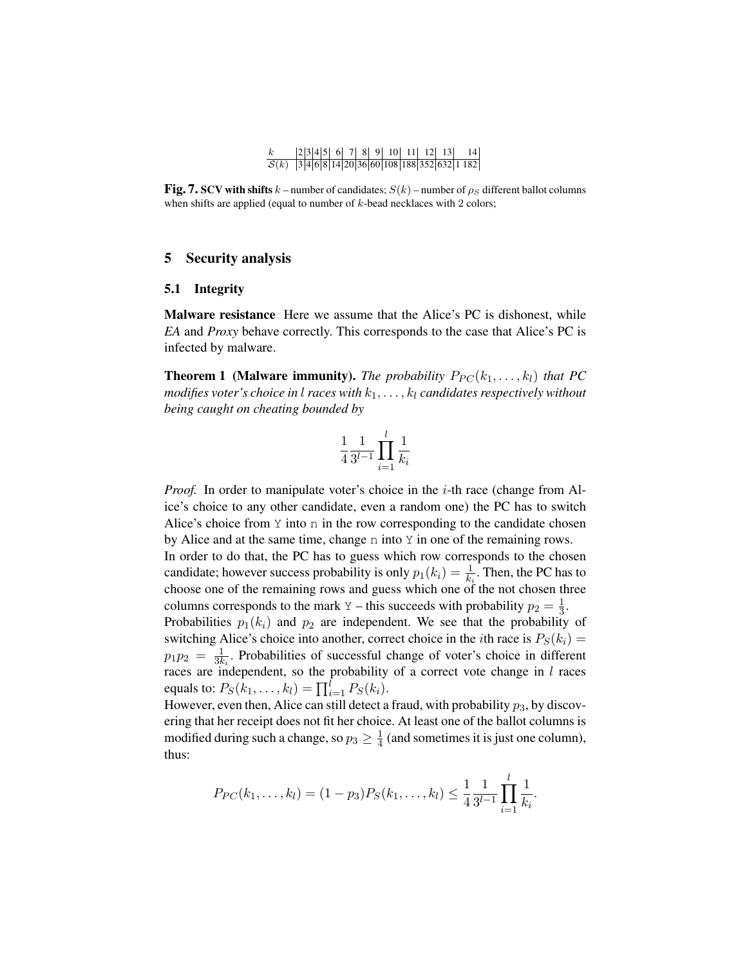#### $k$  2 3 4 5 6 7 8 9 10 11 12 13 14  $S(k)$  3 4 6 8 14 20 36 60 108 188 352 632 1 182

**Fig. 7. SCV with shifts**  $k$  – number of candidates;  $S(k)$  – number of  $\rho_S$  different ballot columns when shifts are applied (equal to number of  $k$ -bead necklaces with 2 colors;

### 5 Security analysis

#### 5.1 Integrity

Malware resistance Here we assume that the Alice's PC is dishonest, while *EA* and *Proxy* behave correctly. This corresponds to the case that Alice's PC is infected by malware.

**Theorem 1 (Malware immunity).** *The probability*  $P_{PC}(k_1, \ldots, k_l)$  *that PC modifies voter's choice in l races with*  $k_1, \ldots, k_l$  *candidates respectively without being caught on cheating bounded by* 

$$
\frac{1}{4} \frac{1}{3^{l-1}} \prod_{i=1}^{l} \frac{1}{k_i}
$$

*Proof.* In order to manipulate voter's choice in the *i*-th race (change from Alice's choice to any other candidate, even a random one) the PC has to switch Alice's choice from  $Y$  into n in the row corresponding to the candidate chosen by Alice and at the same time, change n into  $Y$  in one of the remaining rows.

In order to do that, the PC has to guess which row corresponds to the chosen candidate; however success probability is only  $p_1(k_i) = \frac{1}{k_i}$ . Then, the PC has to choose one of the remaining rows and guess which one of the not chosen three columns corresponds to the mark Y – this succeeds with probability  $p_2 = \frac{1}{3}$ . Probabilities  $p_1(k_i)$  and  $p_2$  are independent. We see that the probability of

switching Alice's choice into another, correct choice in the *i*th race is  $P_S(k_i)$  =  $p_1 p_2 = \frac{1}{3k_i}$ . Probabilities of successful change of voter's choice in different races are independent, so the probability of a correct vote change in  $l$  races equals to:  $P_S(k_1, ..., k_l) = \prod_{i=1}^l P_S(k_i)$ .

However, even then, Alice can still detect a fraud, with probability  $p_3$ , by discovering that her receipt does not fit her choice. At least one of the ballot columns is modified during such a change, so  $p_3 \geq \frac{1}{4}$  (and sometimes it is just one column), thus:

$$
P_{PC}(k_1,\ldots,k_l)=(1-p_3)P_S(k_1,\ldots,k_l)\leq \frac{1}{4}\frac{1}{3^{l-1}}\prod_{i=1}^l\frac{1}{k_i}.
$$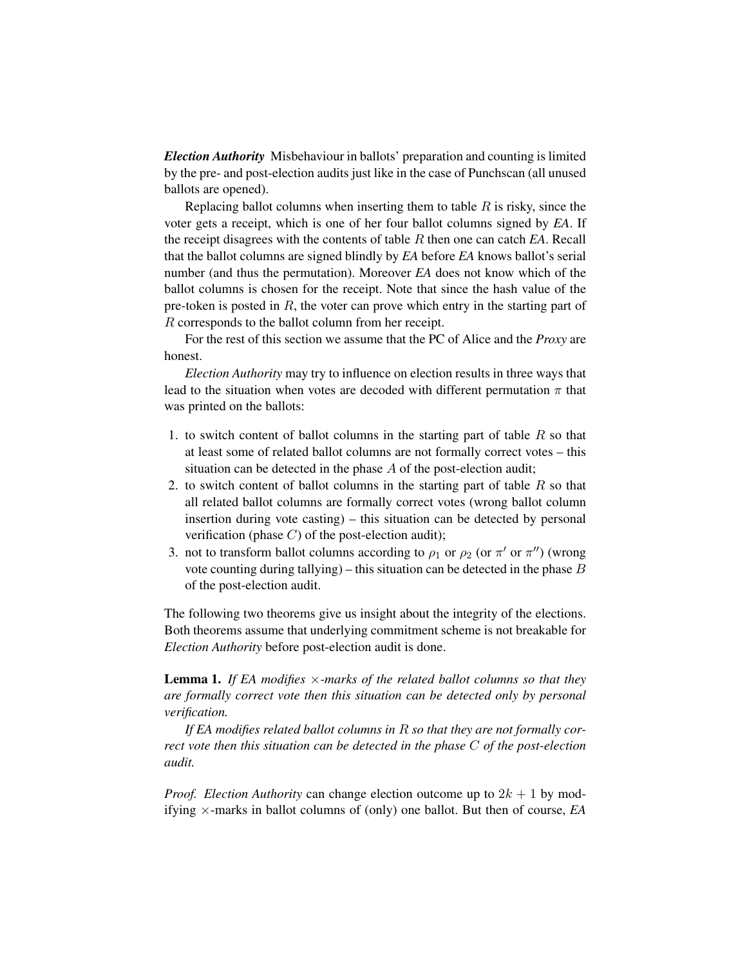*Election Authority* Misbehaviour in ballots' preparation and counting is limited by the pre- and post-election audits just like in the case of Punchscan (all unused ballots are opened).

Replacing ballot columns when inserting them to table  $R$  is risky, since the voter gets a receipt, which is one of her four ballot columns signed by *EA*. If the receipt disagrees with the contents of table R then one can catch *EA*. Recall that the ballot columns are signed blindly by *EA* before *EA* knows ballot's serial number (and thus the permutation). Moreover *EA* does not know which of the ballot columns is chosen for the receipt. Note that since the hash value of the pre-token is posted in  $R$ , the voter can prove which entry in the starting part of R corresponds to the ballot column from her receipt.

For the rest of this section we assume that the PC of Alice and the *Proxy* are honest.

*Election Authority* may try to influence on election results in three ways that lead to the situation when votes are decoded with different permutation  $\pi$  that was printed on the ballots:

- 1. to switch content of ballot columns in the starting part of table  $R$  so that at least some of related ballot columns are not formally correct votes – this situation can be detected in the phase A of the post-election audit;
- 2. to switch content of ballot columns in the starting part of table  $R$  so that all related ballot columns are formally correct votes (wrong ballot column insertion during vote casting) – this situation can be detected by personal verification (phase  $C$ ) of the post-election audit);
- 3. not to transform ballot columns according to  $\rho_1$  or  $\rho_2$  (or  $\pi'$  or  $\pi''$ ) (wrong vote counting during tallying) – this situation can be detected in the phase  $B$ of the post-election audit.

The following two theorems give us insight about the integrity of the elections. Both theorems assume that underlying commitment scheme is not breakable for *Election Authority* before post-election audit is done.

<span id="page-17-0"></span>Lemma 1. *If EA modifies* ×*-marks of the related ballot columns so that they are formally correct vote then this situation can be detected only by personal verification.* 

*If EA modifies related ballot columns in* R *so that they are not formally correct vote then this situation can be detected in the phase* C *of the post-election audit.* 

*Proof. Election Authority* can change election outcome up to  $2k + 1$  by modifying ×-marks in ballot columns of (only) one ballot. But then of course, *EA*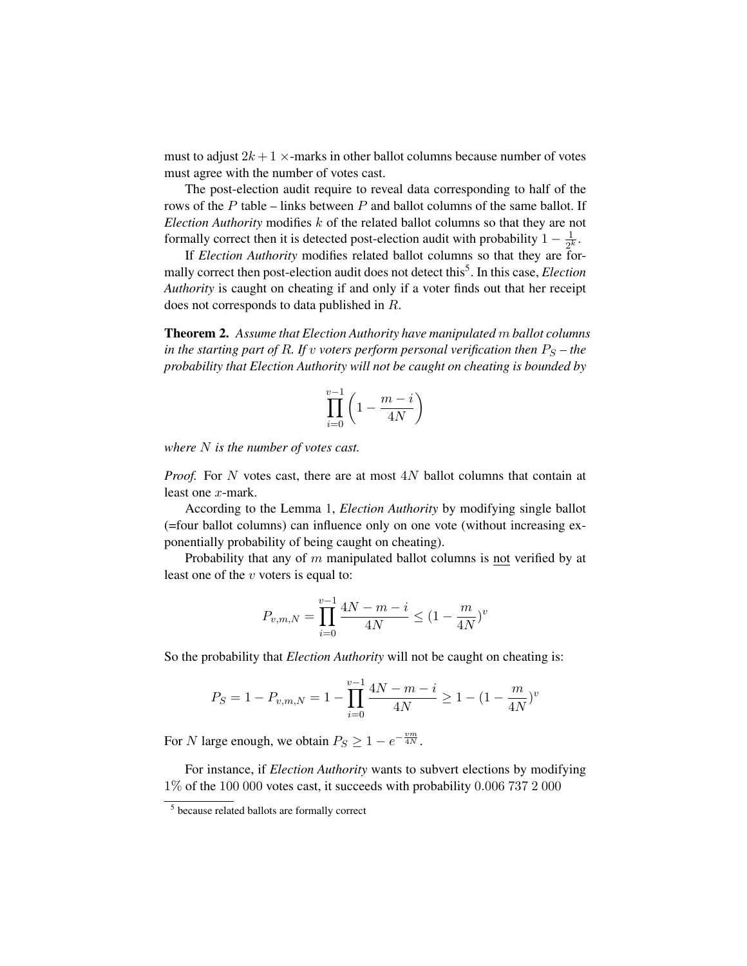must to adjust  $2k+1 \times$ -marks in other ballot columns because number of votes must agree with the number of votes cast.

formally correct then it is detected post-election audit with probability  $1 - \frac{1}{2^k}$ . The post-election audit require to reveal data corresponding to half of the rows of the P table – links between P and ballot columns of the same ballot. If *Election Authority* modifies k of the related ballot columns so that they are not

If *Election Authority* modifies related ballot columns so that they are formally correct then post-election audit does not detect this<sup>5</sup>. In this case, *Election Authority* is caught on cheating if and only if a voter finds out that her receipt does not corresponds to data published in R.

Theorem 2. *Assume that Election Authority have manipulated* m *ballot columns in the starting part of R. If v voters perform personal verification then*  $P_S$  *– the probability that Election Authority will not be caught on cheating is bounded by* 

$$
\prod_{i=0}^{v-1}\left(1-\frac{m-i}{4N}\right)
$$

*where* N *is the number of votes cast.* 

*Proof.* For N votes cast, there are at most 4N ballot columns that contain at least one x-mark.

According to the Lemma [1,](#page-17-0) *Election Authority* by modifying single ballot (=four ballot columns) can influence only on one vote (without increasing exponentially probability of being caught on cheating).

Probability that any of m manipulated ballot columns is not verified by at least one of the  $v$  voters is equal to:

$$
P_{v,m,N} = \prod_{i=0}^{v-1} \frac{4N-m-i}{4N} \le (1 - \frac{m}{4N})^v
$$

So the probability that *Election Authority* will not be caught on cheating is:

$$
P_S = 1 - P_{v,m,N} = 1 - \prod_{i=0}^{v-1} \frac{4N - m - i}{4N} \ge 1 - (1 - \frac{m}{4N})^v
$$

For N large enough, we obtain  $P_S \ge 1 - e^{-\frac{vm}{4N}}$ .

For instance, if *Election Authority* wants to subvert elections by modifying 1% of the 100 000 votes cast, it succeeds with probability 0.006 737 2 000

<span id="page-18-0"></span><sup>5</sup> because related ballots are formally correct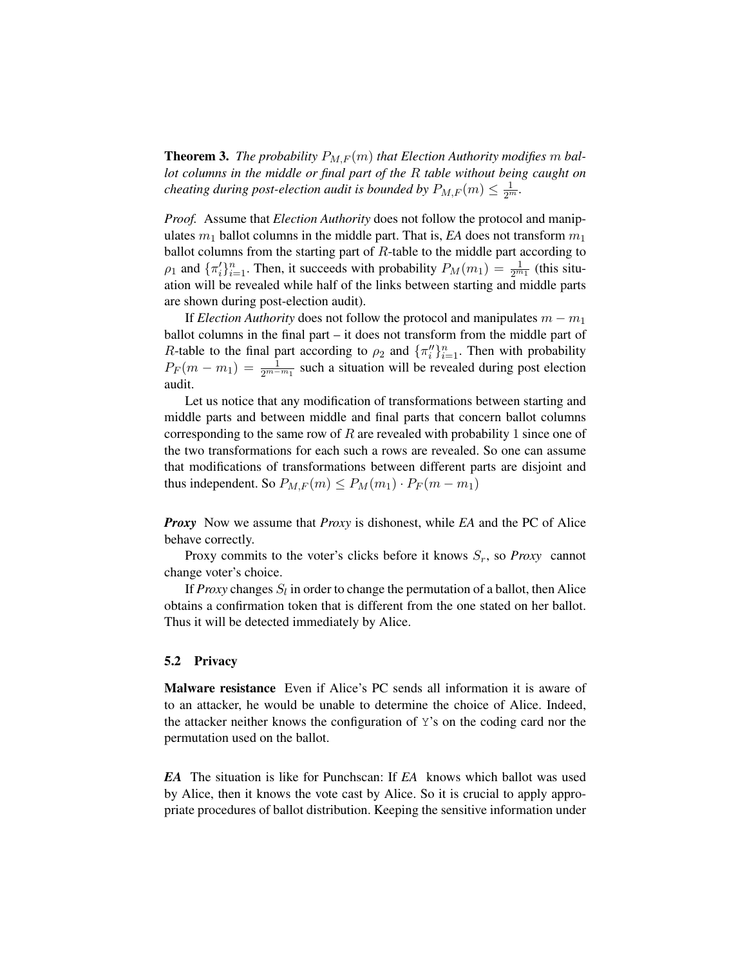**Theorem 3.** The probability  $P_{M,F}(m)$  that Election Authority modifies m bal*lot columns in the middle or final part of the* R *table without being caught on cheating during post-election audit is bounded by*  $P_{M,F}(m) \leq \frac{1}{2^m}$ *.* 

*Proof.* Assume that *Election Authority* does not follow the protocol and manipulates  $m_1$  ballot columns in the middle part. That is, *EA* does not transform  $m_1$ ballot columns from the starting part of  $R$ -table to the middle part according to  $\rho_1$  and  $\{\pi'_i\}_{i=1}^n$ . Then, it succeeds with probability  $P_M(m_1) = \frac{1}{2^{m_1}}$  (this situation will be revealed while half of the links between starting and middle parts are shown during post-election audit).

If *Election Authority* does not follow the protocol and manipulates  $m - m_1$ ballot columns in the final part – it does not transform from the middle part of R-table to the final part according to  $\rho_2$  and  $\{\pi''_i\}_{i=1}^n$ . Then with probability  $P_F(m - m_1) = \frac{1}{2^{m-m_1}}$  such a situation will be revealed during post election audit.

Let us notice that any modification of transformations between starting and middle parts and between middle and final parts that concern ballot columns corresponding to the same row of R are revealed with probability 1 since one of the two transformations for each such a rows are revealed. So one can assume that modifications of transformations between different parts are disjoint and thus independent. So  $P_{M,F}(m) \le P_M(m_1) \cdot P_F(m - m_1)$ 

*Proxy* Now we assume that *Proxy* is dishonest, while *EA* and the PC of Alice behave correctly.

Proxy commits to the voter's clicks before it knows  $S_r$ , so *Proxy* cannot change voter's choice.

If *Proxy* changes  $S_l$  in order to change the permutation of a ballot, then Alice obtains a confirmation token that is different from the one stated on her ballot. Thus it will be detected immediately by Alice.

#### 5.2 Privacy

Malware resistance Even if Alice's PC sends all information it is aware of to an attacker, he would be unable to determine the choice of Alice. Indeed, the attacker neither knows the configuration of Y's on the coding card nor the permutation used on the ballot.

*EA* The situation is like for Punchscan: If *EA* knows which ballot was used by Alice, then it knows the vote cast by Alice. So it is crucial to apply appropriate procedures of ballot distribution. Keeping the sensitive information under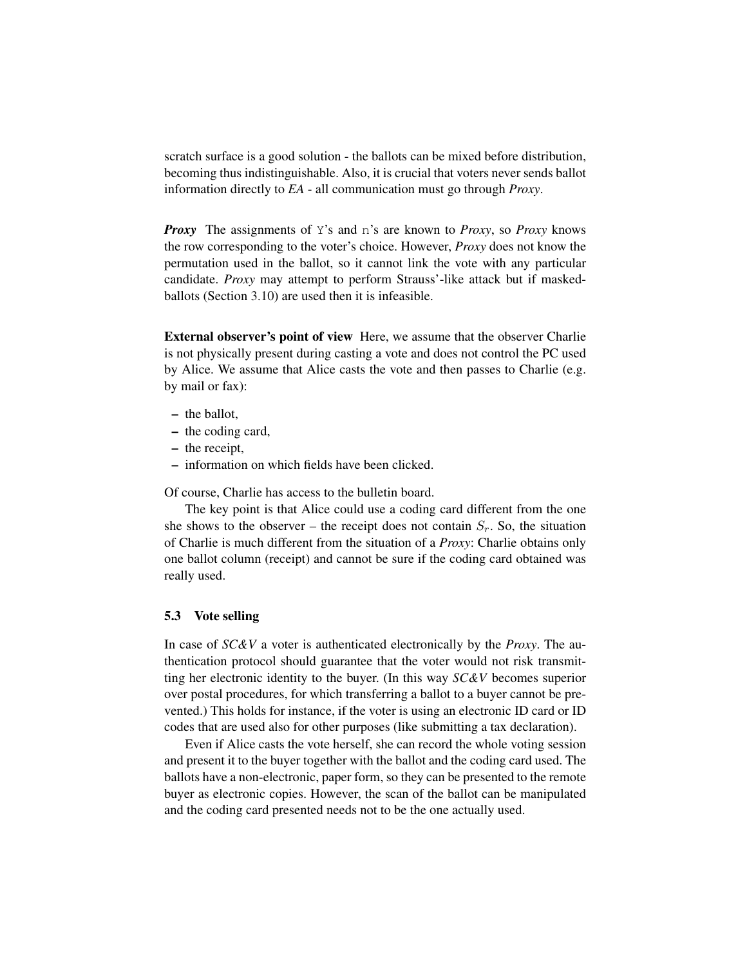scratch surface is a good solution - the ballots can be mixed before distribution, becoming thus indistinguishable. Also, it is crucial that voters never sends ballot information directly to *EA* - all communication must go through *Proxy*.

*Proxy* The assignments of Y's and n's are known to *Proxy*, so *Proxy* knows the row corresponding to the voter's choice. However, *Proxy* does not know the permutation used in the ballot, so it cannot link the vote with any particular candidate. *Proxy* may attempt to perform Strauss'-like attack but if maskedballots (Section [3.10\)](#page-13-2) are used then it is infeasible.

External observer's point of view Here, we assume that the observer Charlie is not physically present during casting a vote and does not control the PC used by Alice. We assume that Alice casts the vote and then passes to Charlie (e.g. by mail or fax):

- the ballot,
- the coding card,
- the receipt,
- information on which fields have been clicked.

Of course, Charlie has access to the bulletin board.

The key point is that Alice could use a coding card different from the one she shows to the observer – the receipt does not contain  $S_r$ . So, the situation of Charlie is much different from the situation of a *Proxy*: Charlie obtains only one ballot column (receipt) and cannot be sure if the coding card obtained was really used.

### 5.3 Vote selling

In case of *SC&V* a voter is authenticated electronically by the *Proxy*. The authentication protocol should guarantee that the voter would not risk transmitting her electronic identity to the buyer. (In this way *SC&V* becomes superior over postal procedures, for which transferring a ballot to a buyer cannot be prevented.) This holds for instance, if the voter is using an electronic ID card or ID codes that are used also for other purposes (like submitting a tax declaration).

Even if Alice casts the vote herself, she can record the whole voting session and present it to the buyer together with the ballot and the coding card used. The ballots have a non-electronic, paper form, so they can be presented to the remote buyer as electronic copies. However, the scan of the ballot can be manipulated and the coding card presented needs not to be the one actually used.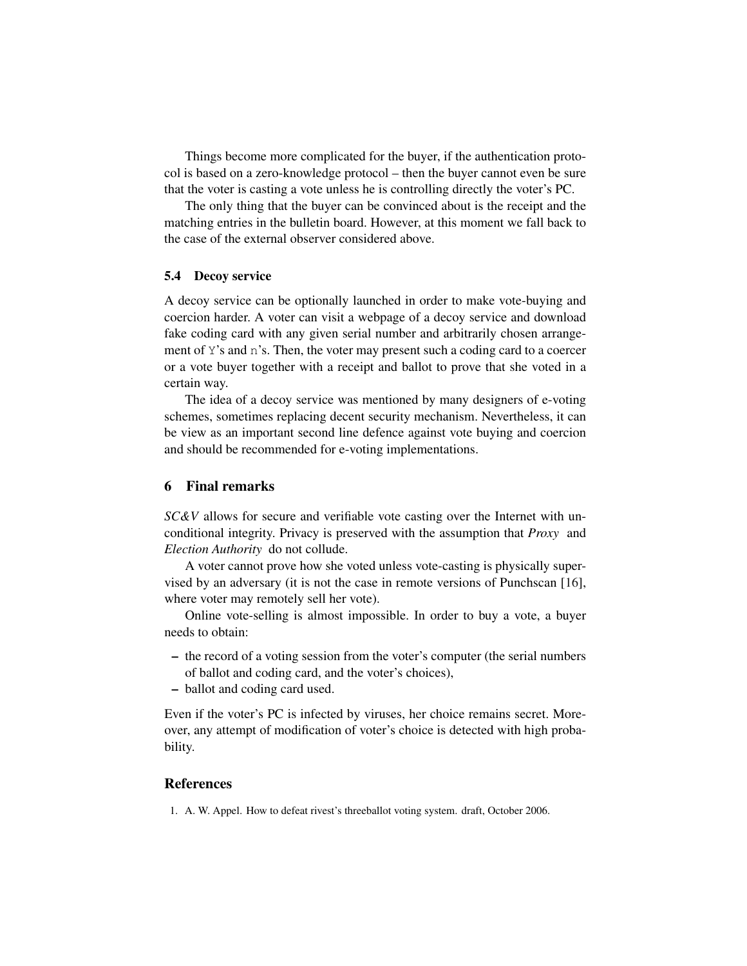Things become more complicated for the buyer, if the authentication protocol is based on a zero-knowledge protocol – then the buyer cannot even be sure that the voter is casting a vote unless he is controlling directly the voter's PC.

The only thing that the buyer can be convinced about is the receipt and the matching entries in the bulletin board. However, at this moment we fall back to the case of the external observer considered above.

### 5.4 Decoy service

A decoy service can be optionally launched in order to make vote-buying and coercion harder. A voter can visit a webpage of a decoy service and download fake coding card with any given serial number and arbitrarily chosen arrangement of Y's and n's. Then, the voter may present such a coding card to a coercer or a vote buyer together with a receipt and ballot to prove that she voted in a certain way.

The idea of a decoy service was mentioned by many designers of e-voting schemes, sometimes replacing decent security mechanism. Nevertheless, it can be view as an important second line defence against vote buying and coercion and should be recommended for e-voting implementations.

### 6 Final remarks

*SC&V* allows for secure and verifiable vote casting over the Internet with unconditional integrity. Privacy is preserved with the assumption that *Proxy* and *Election Authority* do not collude.

A voter cannot prove how she voted unless vote-casting is physically supervised by an adversary (it is not the case in remote versions of Punchscan [\[16\]](#page-22-16), where voter may remotely sell her vote).

Online vote-selling is almost impossible. In order to buy a vote, a buyer needs to obtain:

- the record of a voting session from the voter's computer (the serial numbers of ballot and coding card, and the voter's choices),
- ballot and coding card used.

Even if the voter's PC is infected by viruses, her choice remains secret. Moreover, any attempt of modification of voter's choice is detected with high probability.

## References

<span id="page-21-0"></span>1. A. W. Appel. How to defeat rivest's threeballot voting system. draft, October 2006.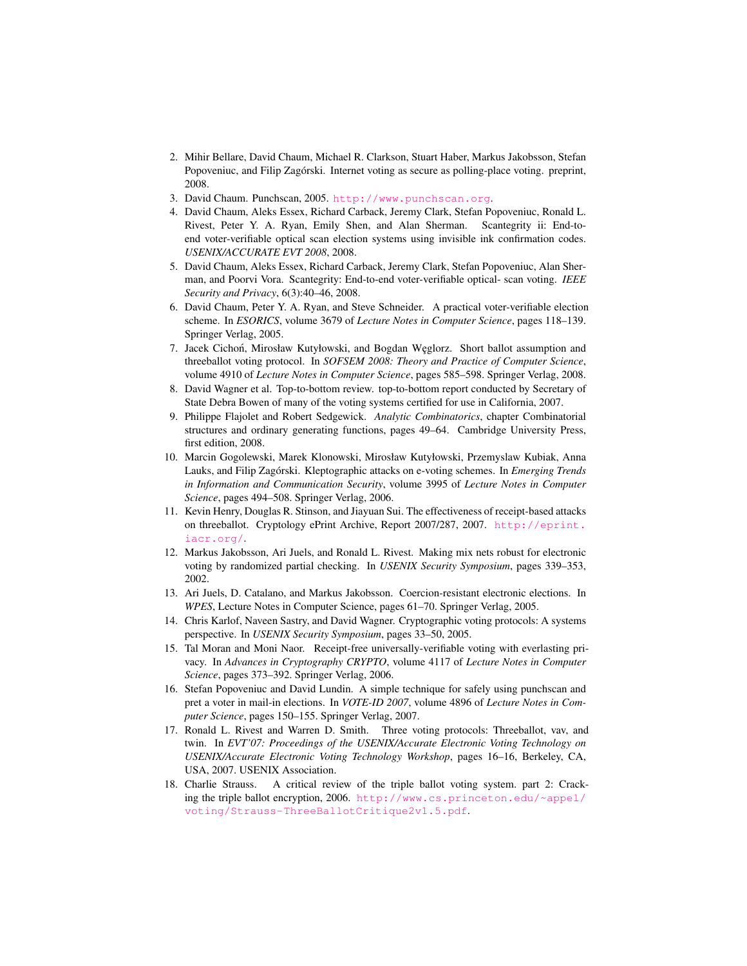- <span id="page-22-7"></span>2. Mihir Bellare, David Chaum, Michael R. Clarkson, Stuart Haber, Markus Jakobsson, Stefan Popoveniuc, and Filip Zagórski. Internet voting as secure as polling-place voting. preprint, 2008.
- <span id="page-22-3"></span>3. David Chaum. Punchscan, 2005. <http://www.punchscan.org>.
- <span id="page-22-6"></span>4. David Chaum, Aleks Essex, Richard Carback, Jeremy Clark, Stefan Popoveniuc, Ronald L. Rivest, Peter Y. A. Ryan, Emily Shen, and Alan Sherman. Scantegrity ii: End-toend voter-verifiable optical scan election systems using invisible ink confirmation codes. *USENIX/ACCURATE EVT 2008*, 2008.
- <span id="page-22-5"></span>5. David Chaum, Aleks Essex, Richard Carback, Jeremy Clark, Stefan Popoveniuc, Alan Sherman, and Poorvi Vora. Scantegrity: End-to-end voter-verifiable optical- scan voting. *IEEE Security and Privacy*, 6(3):40–46, 2008.
- <span id="page-22-4"></span>6. David Chaum, Peter Y. A. Ryan, and Steve Schneider. A practical voter-verifiable election scheme. In *ESORICS*, volume 3679 of *Lecture Notes in Computer Science*, pages 118–139. Springer Verlag, 2005.
- <span id="page-22-9"></span>7. Jacek Cichoń, Mirosław Kutyłowski, and Bogdan Węglorz. Short ballot assumption and threeballot voting protocol. In *SOFSEM 2008: Theory and Practice of Computer Science*, volume 4910 of *Lecture Notes in Computer Science*, pages 585–598. Springer Verlag, 2008.
- <span id="page-22-0"></span>8. David Wagner et al. Top-to-bottom review. top-to-bottom report conducted by Secretary of State Debra Bowen of many of the voting systems certified for use in California, 2007.
- <span id="page-22-15"></span>9. Philippe Flajolet and Robert Sedgewick. *Analytic Combinatorics*, chapter Combinatorial structures and ordinary generating functions, pages 49–64. Cambridge University Press, first edition, 2008.
- <span id="page-22-1"></span>10. Marcin Gogolewski, Marek Klonowski, Mirosław Kutyłowski, Przemyslaw Kubiak, Anna Lauks, and Filip Zagórski. Kleptographic attacks on e-voting schemes. In *Emerging Trends in Information and Communication Security*, volume 3995 of *Lecture Notes in Computer Science*, pages 494–508. Springer Verlag, 2006.
- <span id="page-22-12"></span>11. Kevin Henry, Douglas R. Stinson, and Jiayuan Sui. The effectiveness of receipt-based attacks on threeballot. Cryptology ePrint Archive, Report 2007/287, 2007. [http://eprint.](http://eprint.iacr.org/) [iacr.org/](http://eprint.iacr.org/).
- <span id="page-22-14"></span>12. Markus Jakobsson, Ari Juels, and Ronald L. Rivest. Making mix nets robust for electronic voting by randomized partial checking. In *USENIX Security Symposium*, pages 339–353, 2002.
- <span id="page-22-10"></span>13. Ari Juels, D. Catalano, and Markus Jakobsson. Coercion-resistant electronic elections. In *WPES*, Lecture Notes in Computer Science, pages 61–70. Springer Verlag, 2005.
- <span id="page-22-2"></span>14. Chris Karlof, Naveen Sastry, and David Wagner. Cryptographic voting protocols: A systems perspective. In *USENIX Security Symposium*, pages 33–50, 2005.
- <span id="page-22-11"></span>15. Tal Moran and Moni Naor. Receipt-free universally-verifiable voting with everlasting privacy. In *Advances in Cryptography CRYPTO*, volume 4117 of *Lecture Notes in Computer Science*, pages 373–392. Springer Verlag, 2006.
- <span id="page-22-16"></span>16. Stefan Popoveniuc and David Lundin. A simple technique for safely using punchscan and pret a voter in mail-in elections. In *VOTE-ID 2007*, volume 4896 of *Lecture Notes in Computer Science*, pages 150–155. Springer Verlag, 2007.
- <span id="page-22-8"></span>17. Ronald L. Rivest and Warren D. Smith. Three voting protocols: Threeballot, vav, and twin. In *EVT'07: Proceedings of the USENIX/Accurate Electronic Voting Technology on USENIX/Accurate Electronic Voting Technology Workshop*, pages 16–16, Berkeley, CA, USA, 2007. USENIX Association.
- <span id="page-22-13"></span>18. Charlie Strauss. A critical review of the triple ballot voting system. part 2: Cracking the triple ballot encryption, 2006. [http://www.cs.princeton.edu/~appel/](http://www.cs.princeton.edu/~appel/voting/Strauss-ThreeBallotCritique2v1.5.pdf) [voting/Strauss-ThreeBallotCritique2v1.5.pdf](http://www.cs.princeton.edu/~appel/voting/Strauss-ThreeBallotCritique2v1.5.pdf).